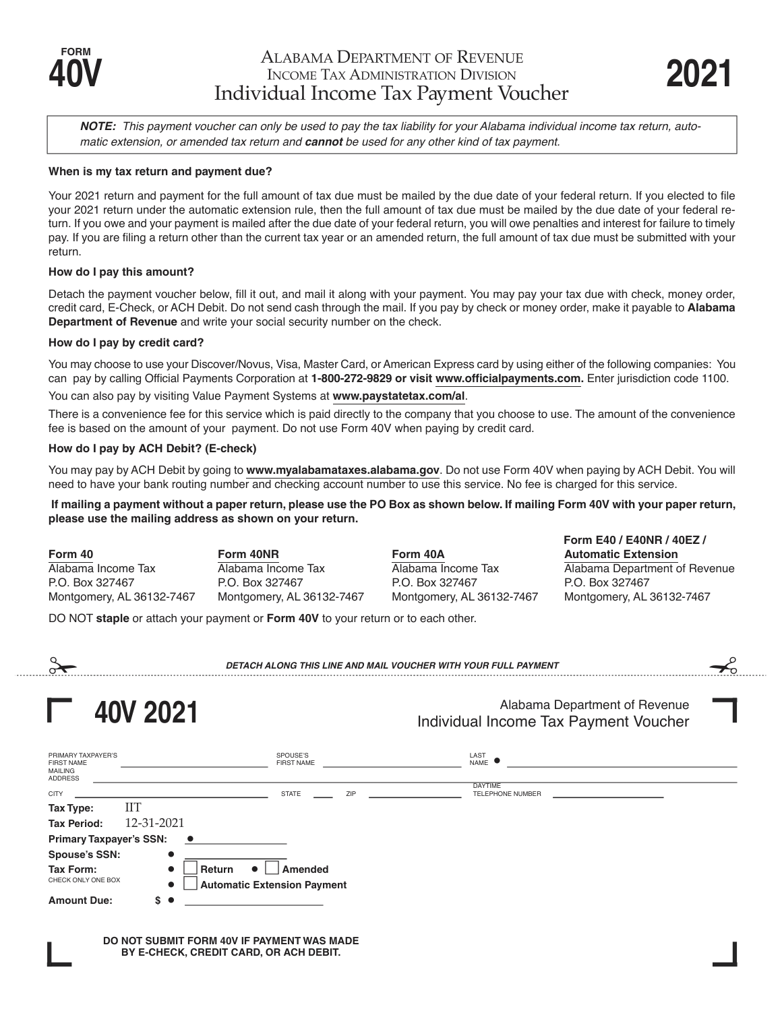**Form E40 / E40NR / 40EZ /**

*NOTE: This payment voucher can only be used to pay the tax liability for your Alabama individual income tax return, automatic extension, or amended tax return and cannot be used for any other kind of tax payment.*

## **When is my tax return and payment due?**

Your 2021 return and payment for the full amount of tax due must be mailed by the due date of your federal return. If you elected to file your 2021 return under the automatic extension rule, then the full amount of tax due must be mailed by the due date of your federal return. If you owe and your payment is mailed after the due date of your federal return, you will owe penalties and interest for failure to timely pay. If you are filing a return other than the current tax year or an amended return, the full amount of tax due must be submitted with your return.

### **How do I pay this amount?**

Detach the payment voucher below, fill it out, and mail it along with your payment. You may pay your tax due with check, money order, credit card, E-Check, or ACH Debit. Do not send cash through the mail. If you pay by check or money order, make it payable to **Alabama Department of Revenue** and write your social security number on the check.

#### **How do I pay by credit card?**

You may choose to use your Discover/Novus, Visa, Master Card, or American Express card by using either of the following companies: You can pay by calling Official Payments Corporation at **1-800-272-9829 or visit www.officialpayments.com.** Enter jurisdiction code 1100.

You can also pay by visiting Value Payment Systems at **www.paystatetax.com/al**.

There is a convenience fee for this service which is paid directly to the company that you choose to use. The amount of the convenience fee is based on the amount of your payment. Do not use Form 40V when paying by credit card.

## **How do I pay by ACH Debit? (E-check)**

You may pay by ACH Debit by going to **www.myalabamataxes.alabama.gov**. Do not use Form 40V when paying by ACH Debit. You will need to have your bank routing number and checking account number to use this service. No fee is charged for this service.

**If mailing a payment without a paper return, please use the PO Box as shown below. If mailing Form 40V with your paper return, please use the mailing address as shown on your return.**

**Form 40 Form 40NR Form 40A Automatic Extension** Alabama Income Tax Alabama Income Tax Alabama Income Tax Alabama Department of Revenue P.O. Box 327467 P.O. Box 327467 P.O. Box 327467 P.O. Box 327467 Montgomery, AL 36132-7467 Montgomery, AL 36132-7467 Montgomery, AL 36132-7467 Montgomery, AL 36132-7467

DO NOT **staple** or attach your payment or **Form 40V** to your return or to each other.

| DETACH ALONG THIS LINE AND MAIL VOUCHER WITH YOUR FULL PAYMENT                                                       |                               |                                                                        |
|----------------------------------------------------------------------------------------------------------------------|-------------------------------|------------------------------------------------------------------------|
| 40V 2021                                                                                                             |                               | Alabama Department of Revenue<br>Individual Income Tax Payment Voucher |
| PRIMARY TAXPAYER'S<br><b>FIRST NAME</b><br><b>MAILING</b><br><b>ADDRESS</b>                                          | SPOUSE'S<br><b>FIRST NAME</b> | LAST<br>NAME                                                           |
| <b>CITY</b>                                                                                                          | <b>STATE</b><br>ZIP           | <b>DAYTIME</b><br>TELEPHONE NUMBER                                     |
| ШT<br>Tax Type:                                                                                                      |                               |                                                                        |
| 12-31-2021<br><b>Tax Period:</b>                                                                                     |                               |                                                                        |
| <b>Primary Taxpayer's SSN:</b>                                                                                       |                               |                                                                        |
| <b>Spouse's SSN:</b><br>$\bullet$                                                                                    |                               |                                                                        |
| Tax Form:<br>Amended<br>Return<br>$\bullet$<br>CHECK ONLY ONE BOX<br><b>Automatic Extension Payment</b><br>$\bullet$ |                               |                                                                        |
| <b>Amount Due:</b><br>S.                                                                                             |                               |                                                                        |

**DO NOT SUBMIT FORM 40V IF PAYMENT WAS MADE BY E-CHECK, CREDIT CARD, OR ACH DEBIT.**